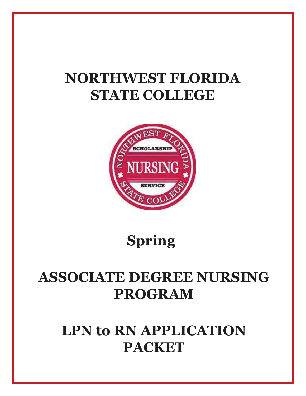# **NORTHWEST FLORIDA STATE COLLEGE**



 **Spring** 

# **ASSOCIATE DEGREE NURSING PROGRAM**

# **LPN to RN APPLICATION PACKET**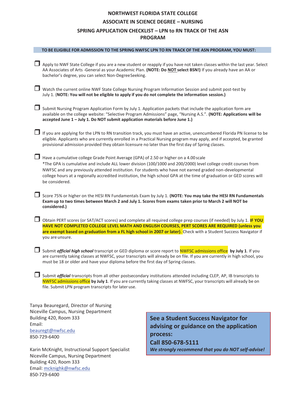# **NORTHWEST FLORIDA STATE COLLEGE ASSOCIATE IN SCIENCE DEGREE – NURSING SPRING APPLICATION CHECKLIST – LPN to RN TRACK OF THE ASN PROGRAM**

| TO BE ELIGIBLE FOR ADMISSION TO THE SPRING NWFSC LPN TO RN TRACK OF THE ASN PROGRAM, YOU MUST:                                                                                                                                                                                                                                                                 |                                                                                                                                                                                                                                                                                                                                                                                                                                                |  |  |  |  |
|----------------------------------------------------------------------------------------------------------------------------------------------------------------------------------------------------------------------------------------------------------------------------------------------------------------------------------------------------------------|------------------------------------------------------------------------------------------------------------------------------------------------------------------------------------------------------------------------------------------------------------------------------------------------------------------------------------------------------------------------------------------------------------------------------------------------|--|--|--|--|
| Apply to NWF State College if you are a new student or reapply if you have not taken classes within the last year. Select<br>AA Associates of Arts -General as your Academic Plan. (NOTE: Do NOT select BSN!) If you already have an AA or<br>bachelor's degree, you can select Non-DegreeSeeking.                                                             |                                                                                                                                                                                                                                                                                                                                                                                                                                                |  |  |  |  |
| Watch the current online NWF State College Nursing Program Information Session and submit post-test by<br>July 1. (NOTE: You will not be eligible to apply if you do not complete the information session.)                                                                                                                                                    |                                                                                                                                                                                                                                                                                                                                                                                                                                                |  |  |  |  |
| Submit Nursing Program Application Form by July 1. Application packets that include the application form are<br>accepted June 1 - July 1. Do NOT submit application materials before June 1.)                                                                                                                                                                  | available on the college website: "Selective Program Admissions" page, "Nursing A.S.". (NOTE: Applications will be                                                                                                                                                                                                                                                                                                                             |  |  |  |  |
|                                                                                                                                                                                                                                                                                                                                                                | If you are applying for the LPN to RN transition track, you must have an active, unencumbered Florida PN license to be<br>eligible. Applicants who are currently enrolled in a Practical Nursing program may apply, and if accepted, be granted<br>provisional admission provided they obtain licensure no later than the first day of Spring classes.                                                                                         |  |  |  |  |
| be considered.                                                                                                                                                                                                                                                                                                                                                 | Have a cumulative college Grade Point Average (GPA) of 2.50 or higher on a 4.00 scale<br>*The GPA is cumulative and include ALL lower division (100/1000 and 200/2000) level college credit courses from<br>NWFSC and any previously attended institution. For students who have not earned graded non-developmental<br>college hours at a regionally accredited institution, the high school GPA at the time of graduation or GED scores will |  |  |  |  |
| Exam up to two times between March 2 and July 1. Scores from exams taken prior to March 2 will NOT be<br>considered.)                                                                                                                                                                                                                                          | $\Box$ Score 75% or higher on the HESI RN Fundamentals Exam by July 1. (NOTE: You may take the HESI RN Fundamentals                                                                                                                                                                                                                                                                                                                            |  |  |  |  |
| Obtain PERT scores (or SAT/ACT scores) and complete all required college prep courses (if needed) by July 1. IF YOU<br>HAVE NOT COMPLETED COLLEGE LEVEL MATH AND ENGLISH COURSES, PERT SCORES ARE REQUIRED (unless you<br>are exempt based on graduation from a FL high school in 2007 or later). Check with a Student Success Navigator if<br>you are unsure. |                                                                                                                                                                                                                                                                                                                                                                                                                                                |  |  |  |  |
| Submit official high school transcript or GED diploma or score report to NWFSC admissions office by July 1. If you<br>are currently taking classes at NWFSC, your transcripts will already be on file. If you are currently in high school, you<br>must be 18 or older and have your diploma before the first day of Spring classes.                           |                                                                                                                                                                                                                                                                                                                                                                                                                                                |  |  |  |  |
| file. Submit LPN program transcripts for later use.                                                                                                                                                                                                                                                                                                            | Submit official transcripts from all other postsecondary institutions attended including CLEP, AP, IB transcripts to<br>NWFSC admissions office by July 1. If you are currently taking classes at NWFSC, your transcripts will already be on                                                                                                                                                                                                   |  |  |  |  |
| Tanya Beauregard, Director of Nursing                                                                                                                                                                                                                                                                                                                          |                                                                                                                                                                                                                                                                                                                                                                                                                                                |  |  |  |  |
| Niceville Campus, Nursing Department<br>See a Student Success Navigator for<br>Building 420, Room 333                                                                                                                                                                                                                                                          |                                                                                                                                                                                                                                                                                                                                                                                                                                                |  |  |  |  |
| Email:<br>duicing ar quidance an the annlication                                                                                                                                                                                                                                                                                                               |                                                                                                                                                                                                                                                                                                                                                                                                                                                |  |  |  |  |

Karin McKnight, Instructional Support Specialist Niceville Campus, Nursing Department Building 420, Room 333 Email: mcknighk@nwfsc.edu 850-729-6400

beauregt@nwfsc.edu

850-729-6400

**advising or guidance on the application process: Call 850-678-5111**  *We strongly recommend that you do NOT self-advise!*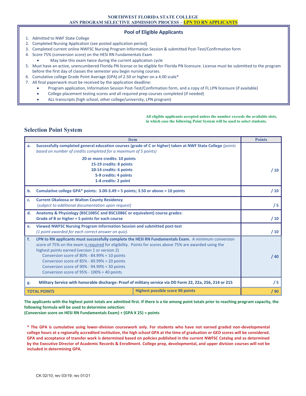#### **Pool of Eligible Applicants**

- 1. Admitted to NWF State College
- 2. Completed Nursing Application (see posted application period)
- 3. Completed current online NWFSC Nursing Program Information Session & submitted Post-Test/Confirmation form
- 4. Score 75% (conversion score) on the HESI RN Fundamentals Exam
	- May take this exam twice during the current application cycle
- 5. Must have an active, unencumbered Florida PN license or be eligible for Florida PN licensure. License must be submitted to the program before the first day of classes the semester you begin nursing courses.
- 6. Cumulative college Grade Point Average (GPA) of 2.50 or higher on a 4.00 scale\*
- 7. All final paperwork must be received by the application deadline:
	- · Program application, Information Session Post-Test/Confirmation form, and a copy of FL LPN licensure (if available)
	- College placement testing scores and all required prep courses completed (if needed)
	- ALL transcripts (high school, other college/university, LPN program)

#### **All eligible applicants accepted unless the number exceeds the available slots, in which case the following Point System will be used to select students.**

#### **Selection Point System**

|               | <b>Item</b>                                                                                                                                                                                                                                                                                                                                                                                                                                                    | <b>Points</b> |
|---------------|----------------------------------------------------------------------------------------------------------------------------------------------------------------------------------------------------------------------------------------------------------------------------------------------------------------------------------------------------------------------------------------------------------------------------------------------------------------|---------------|
| a.            | Successfully completed general education courses (grade of C or higher) taken at NWF State College (points<br>based on number of credits completed for a maximum of 5 points)                                                                                                                                                                                                                                                                                  |               |
|               | 20 or more credits: 10 points<br>15-19 credits: 8 points<br>10-14 credits: 6 points<br>5-9 credits: 4 points<br>1-4 credits: 2 point                                                                                                                                                                                                                                                                                                                           | /10           |
| b.            | Cumulative college GPA* points: $3.00-3.49 = 5$ points; $3.50$ or above = 10 points                                                                                                                                                                                                                                                                                                                                                                            | /10           |
| $C_{\bullet}$ | <b>Current Okaloosa or Walton County Residency</b><br>(subject to additional documentation upon request)                                                                                                                                                                                                                                                                                                                                                       | /5            |
| d.            | Anatomy & Physiology (BSC1085C and BSC1086C or equivalent) course grades:<br>Grade of B or higher = 5 points for each course                                                                                                                                                                                                                                                                                                                                   | /10           |
| e.            | Viewed NWFSC Nursing Program Information Session and submitted post-test<br>(1 point awarded for each correct answer on quiz).                                                                                                                                                                                                                                                                                                                                 | /10           |
| f.            | LPN to RN applicants must successfully complete the HESI RN Fundamentals Exam. A minimum conversion<br>score of 75% on the exam is required for eligibility. Points for scores above 75% are awarded using the<br>highest points earned (version 1 or version 2)<br>Conversion score of 80% - 84.99% = 10 points<br>Conversion score of 85% - 89.99% = 20 points<br>Conversion score of 90% - 94.99% = 30 points<br>Conversion score of 95% - 100% = 40 points | /40           |
| g.            | Military Service with honorable discharge: Proof of military service via DD Form 22, 22a, 256, 214 or 215                                                                                                                                                                                                                                                                                                                                                      | /5            |
|               | <b>Highest possible score 90 points</b><br><b>TOTAL POINTS</b>                                                                                                                                                                                                                                                                                                                                                                                                 | /90           |

**The applicants with the highest point totals are admitted first. If there is a tie among point totals prior to reaching program capacity, the following formula will be used to determine selection:** 

**(Conversion score on HESI RN Fundamentals Exam) + (GPA X 25) = points**

**\* The GPA is cumulative using lower-division coursework only. For students who have not earned graded non-developmental college hours at a regionally accredited institution, the high school GPA at the time of graduation or GED scores will be considered. GPA and acceptance of transfer work is determined based on policies published in the current NWFSC Catalog and as determined by the Executive Director of Academic Records & Enrollment. College prep, developmental, and upper division courses will not be included in determining GPA.**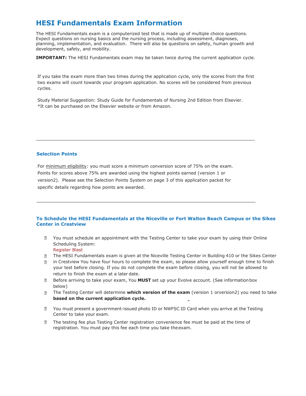# **HESI Fundamentals Exam Information**

The HESI Fundamentals exam is a computerized test that is made up of multiple choice questions. Expect questions on nursing basics and the nursing process, including assessment, diagnoses, planning, implementation, and evaluation. There will also be questions on safety, human growth and development, safety, and mobility.

**IMPORTANT:** The HESI Fundamentals exam may be taken twice during the current application cycle.

If you take the exam more than two times during the application cycle, only the scores from the first two exams will count towards your program application. No scores will be considered from previous cycles.

Study Material Suggestion: Study Guide for Fundamentals of Nursing 2nd Edition from Elsevier. <sup>\*</sup>It can be purchased on the Elsevier website or from Amazon.

#### **Selection Points**

For minimum eligibility: you must score a minimum conversion score of 75% on the exam. Points for scores above 75% are awarded using the highest points earned (version 1 or version2). Please see the Selection Points System on page 3 of this application packet for specific details regarding how points are awarded.

#### **To Schedule the HESI Fundamentals at the Niceville or Fort Walton Beach Campus or the Sikes Center in Crestview**

- You must schedule an appointment with the Testing Center to take your exam by using their Online Scheduling System: Register Blast
- The HESI Fundamentals exam is given at the Niceville Testing Center in Building 410 or the Sikes Center  $\sqrt{2}$
- in Crestview You have four hours to complete the exam, so please allow yourself enough time to finish  $\overline{2}$ your test before closing. If you do not complete the exam before closing, you will not be allowed to return to finish the exam at a later date.
- Before arriving to take your exam, You **MUST** set up your Evolve account. (See information box below)
- The Testing Center will determine **which version of the exam** (version 1 orversion2) you need to take **based on the current application cycle.**
- You must present a government-issued photo ID or NWFSC ID Card when you arrive at the Testing Center to take your exam.
- $\overline{?}$ The testing fee plus Testing Center registration convenience fee must be paid at the time of registration. You must pay this fee each time you take the exam.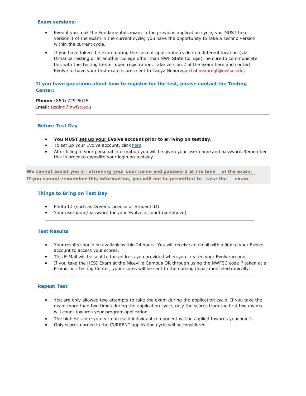#### **Exam versions:**

- Even if you took the Fundamentals exam in the previous application cycle, you MUST take version 1 of the exam in the current cycle; you have the opportunity to take a second version within the current cycle.
- · If you have taken the exam during the current application cycle in a different location (via Distance Testing or at another college other than NWF State College), be sure to communicate this with the Testing Center upon registration. Take version 2 of the exam here and contact Evolve to have your first exam scores sent to Tanya Beauregard at beauregt@nwfsc.edu.

#### **If you have questions about how to register for the test, please contact the Testing Center:**

**Phone:** (850) 729-6016 **Email:** testing@nwfsc.edu

#### **Before Test Day**

- · **You MUST set up your Evolve account prior to arriving on test day.**
- To set up your Evolve account, click here
- · After filling in your personal information you will be given your user name and password. Remember this in order to expedite your login on test day.

**We cannot assist you in retrieving your user name and password at the time of the exam. If you cannot remember this information, you will not be permitted to take the exam.**

#### **Things to Bring on Test Day**

- · Photo ID (such as Driver's License or Student ID)
- Your username/password for your Evolve account (see above)

#### **Test Results**

- · Your results should be available within 24 hours. You will receive an email with a link to your Evolve account to access your scores.
- · This E-Mail will be sent to the address you provided when you created your Evolve account.
- · If you take the HESI Exam at the Niceville Campus OR through using the NWFSC code if taken at a Prometrics Testing Center, your scores will be sent to the nursing department electronically.

#### **Repeat Test**

- · You are only allowed two attempts to take the exam during the application cycle. If you take the exam more than two times during the application cycle, only the scores from the first two exams will count towards your program application.
- · The highest score you earn on each individual component will be applied towards your points
- · Only scores earned in the CURRENT application cycle will be considered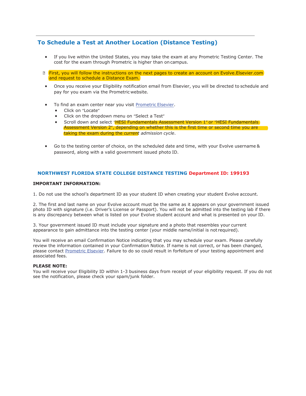# **To Schedule a Test at Another Location (Distance Testing)**

- · If you live within the United States, you may take the exam at any Prometric Testing Center. The cost for the exam through Prometric is higher than on campus.
- **E** First, you will follow the instructions on the next pages to create an account on Evolve. Elsevier.com and request to schedule a Distance Exam.
- · Once you receive your Eligibility notification email from Elsevier, you will be directed to schedule and pay for you exam via the Prometric website.
- To find an exam center near you visit Prometric Elsevier.
	- · Click on "Locate"
	- Click on the dropdown menu on "Select a Test"
	- Scroll down and select "HESI Fundamentals Assessment Version 1" or "HESI Fundamentals" Assessment Version 2", depending on whether this is the first time or second time you are taking the exam during the *current admission cycle*.
- Go to the testing center of choice, on the scheduled date and time, with your Evolve username & password, along with a valid government issued photo ID.

#### **NORTHWEST FLORIDA STATE COLLEGE DISTANCE TESTING Department ID: 199193**

#### **IMPORTANT INFORMATION:**

1. Do not use the school's department ID as your student ID when creating your student Evolve account.

2. The first and last name on your Evolve account must be the same as it appears on your government issued photo ID with signature (i.e. Driver's License or Passport). You will not be admitted into the testing lab if there is any discrepancy between what is listed on your Evolve student account and what is presented on your ID.

3. Your government issued ID must include your signature and a photo that resembles your current appearance to gain admittance into the testing center (your middle name/initial is not required).

You will receive an email Confirmation Notice indicating that you may schedule your exam. Please carefully review the information contained in your Confirmation Notice. If name is not correct, or has been changed, please contact Prometric Elsevier. Failure to do so could result in forfeiture of your testing appointment and associated fees.

#### **PLEASE NOTE:**

You will receive your Eligibility ID within 1-3 business days from receipt of your eligibility request. If you do not see the notification, please check your spam/junk folder.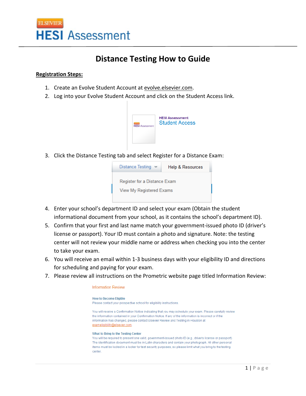

# **Distance Testing How to Guide**

### **Registration Steps:**

- 1. Create an Evolve Student Account at evolve.elsevier.com.
- 2. Log into your Evolve Student Account and click on the Student Access link.



3. Click the Distance Testing tab and select Register for a Distance Exam:

| Distance Testing<br>$\checkmark$ | Help & Resources |  |  |
|----------------------------------|------------------|--|--|
| Register for a Distance Exam     |                  |  |  |
| View My Registered Exams         |                  |  |  |
|                                  |                  |  |  |

- 4. Enter your school's department ID and select your exam (Obtain the student informational document from your school, as it contains the school's department ID).
- 5. Confirm that your first and last name match your government-issued photo ID (driver's license or passport). Your ID must contain a photo and signature. Note: the testing center will not review your middle name or address when checking you into the center to take your exam.
- 6. You will receive an email within 1‐3 business days with your eligibility ID and directions for scheduling and paying for your exam.
- 7. Please review all instructions on the Prometric website page titled Information Review:

**Information Review How to Become Eligible** Please contact your prospective school for eligibility instructions. You will receive a Confirmation Notice indicating that you may schedule your exam. Please carefully review the information contained in your Confirmation Notice. If any of the information is incorrect or if the information has changed, please contact Elsevier Review and Testing in Houston at exameligibility@elsevier.com What to Bring to the Testing Center You will be required to present one valid, government-issued photo ID (e.g., driver's license or passport). The identification document must be in Latin characters and contain your photograph. All other personal items must be locked in a locker for test security purposes, so please limit what you bring to the testing center.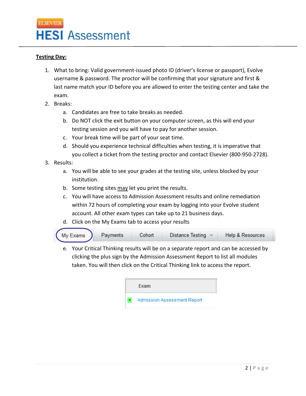

# **Testing Day:**

- 1. What to bring: Valid government‐issued photo ID (driver's license or passport), Evolve username & password. The proctor will be confirming that your signature and first & last name match your ID before you are allowed to enter the testing center and take the exam.
- 2. Breaks:
	- a. Candidates are free to take breaks as needed.
	- b. Do NOT click the exit button on your computer screen, as this will end your testing session and you will have to pay for another session.
	- c. Your break time will be part of your seat time.
	- d. Should you experience technical difficulties when testing, it is imperative that you collect a ticket from the testing proctor and contact Elsevier (800‐950‐2728).
- 3. Results:
	- a. You will be able to see your grades at the testing site, unless blocked by your institution.
	- b. Some testing sites may let you print the results.
	- c. You will have access to Admission Assessment results and online remediation within 72 hours of completing your exam by logging into your Evolve student account. All other exam types can take up to 21 business days.
	- d. Click on the My Exams tab to access your results



e. Your Critical Thinking results will be on a separate report and can be accessed by clicking the plus sign by the Admission Assessment Report to list all modules taken. You will then click on the Critical Thinking link to access the report.

| Exam                        |
|-----------------------------|
| Admission Assessment Report |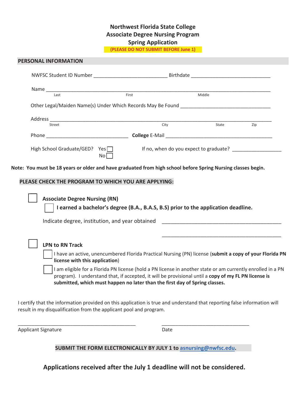# **Northwest Florida State College Associate Degree Nursing Program Spring Application**

**(PLEASE DO NOT SUBMIT BEFORE June 1)** 

| Last                                                                                                         |                                                                                                         | <b>Example 2014</b><br>First | Middle |     |
|--------------------------------------------------------------------------------------------------------------|---------------------------------------------------------------------------------------------------------|------------------------------|--------|-----|
|                                                                                                              |                                                                                                         |                              |        |     |
| Street                                                                                                       |                                                                                                         | City                         |        |     |
|                                                                                                              |                                                                                                         |                              | State  | Zip |
| High School Graduate/GED? Yes                                                                                |                                                                                                         |                              |        |     |
|                                                                                                              | No <sub>1</sub>                                                                                         |                              |        |     |
|                                                                                                              |                                                                                                         |                              |        |     |
| Note: You must be 18 years or older and have graduated from high school before Spring Nursing classes begin. |                                                                                                         |                              |        |     |
| PLEASE CHECK THE PROGRAM TO WHICH YOU ARE APPLYING:                                                          |                                                                                                         |                              |        |     |
| <b>Associate Degree Nursing (RN)</b>                                                                         |                                                                                                         |                              |        |     |
|                                                                                                              | I earned a bachelor's degree (B.A., B.A.S, B.S) prior to the application deadline.                      |                              |        |     |
|                                                                                                              |                                                                                                         |                              |        |     |
|                                                                                                              | Indicate degree, institution, and year obtained                                                         |                              |        |     |
|                                                                                                              |                                                                                                         |                              |        |     |
| <b>LPN to RN Track</b>                                                                                       |                                                                                                         |                              |        |     |
| license with this application)                                                                               | I have an active, unencumbered Florida Practical Nursing (PN) license (submit a copy of your Florida PN |                              |        |     |

I certify that the information provided on this application is true and understand that reporting false information will result in my disqualification from the applicant pool and program.

Applicant Signature Date

**SUBMIT THE FORM ELECTRONICALLY BY JULY 1 to asnursing@nwfsc.edu.**

\_\_\_\_\_\_\_\_\_\_\_\_\_\_\_\_\_\_\_\_\_\_\_\_\_\_\_\_\_\_\_\_\_\_\_\_\_\_\_\_\_\_\_ \_\_\_\_\_\_\_\_\_\_\_\_\_\_\_\_\_\_\_\_\_\_\_\_\_\_\_\_\_\_\_\_

**Applications received after the July 1 deadline will not be considered.**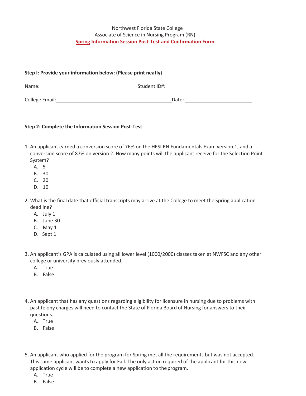## Northwest Florida State College Associate of Science in Nursing Program (RN) **Spring Information Session Post-Test and Confirmation Form**

| Step I: Provide your information below: (Please print neatly) |              |  |  |
|---------------------------------------------------------------|--------------|--|--|
| Name:                                                         | Student ID#: |  |  |
| College Email:                                                | Date:        |  |  |

## **Step 2: Complete the Information Session Post-Test**

- 1. An applicant earned a conversion score of 76% on the HESI RN Fundamentals Exam version 1, and a conversion score of 87% on version 2. How many points will the applicant receive for the Selection Point System?
	- A. 5
	- B. 30
	- C. 20
	- D. 10
- 2. What is the final date that official transcripts may arrive at the College to meet the Spring application deadline?
	- A. July 1
	- B. June 30
	- C. May 1
	- D. Sept 1
- 3. An applicant's GPA is calculated using all lower level (1000/2000) classes taken at NWFSC and any other college or university previously attended.
	- A. True
	- B. False
- 4. An applicant that has any questions regarding eligibility for licensure in nursing due to problems with past felony charges will need to contact the State of Florida Board of Nursing for answers to their questions.
	- A. True
	- B. False
- 5. An applicant who applied for the program for Spring met all the requirements but was not accepted. This same applicant wants to apply for Fall. The only action required of the applicant for this new application cycle will be to complete a new application to the program.
	- A. True
	- B. False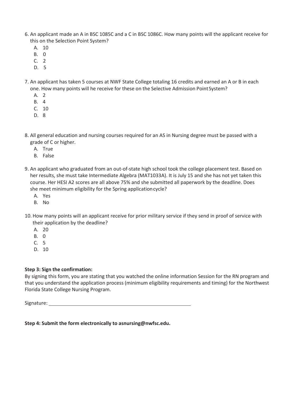- 6. An applicant made an A in BSC 1085C and a C in BSC 1086C. How many points will the applicant receive for this on the Selection Point System?
	- A. 10
	- B. 0
	- C. 2
	- D. 5
- 7. An applicant has taken 5 courses at NWF State College totaling 16 credits and earned an A or B in each one. How many points will he receive for these on the Selective Admission Point System?
	- A. 2
	- B. 4
	- C. 10
	- D. 8
- 8. All general education and nursing courses required for an AS in Nursing degree must be passed with a grade of C or higher.
	- A. True
	- B. False
- 9. An applicant who graduated from an out-of-state high school took the college placement test. Based on her results, she must take Intermediate Algebra (MAT1033A). It is July 15 and she has not yet taken this course. Her HESI A2 scores are all above 75% and she submitted all paperwork by the deadline. Does she meet minimum eligibility for the Spring application cycle?
	- A. Yes
	- B. No
- 10. How many points will an applicant receive for prior military service if they send in proof of service with their application by the deadline?
	- A. 20
	- B. 0
	- C. 5
	- D. 10

## **Step 3: Sign the confirmation:**

By signing this form, you are stating that you watched the online information Session for the RN program and that you understand the application process (minimum eligibility requirements and timing) for the Northwest Florida State College Nursing Program.

Signature:

# **Step 4: Submit the form electronically to asnursing@nwfsc.edu.**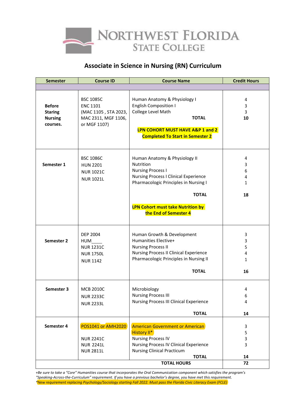

# **Associate in Science in Nursing (RN) Curriculum**

| <b>Semester</b>                                               | <b>Course ID</b>                                                                                   | <b>Course Name</b>                                                                                                                                                                                                    | <b>Credit Hours</b>                                          |  |
|---------------------------------------------------------------|----------------------------------------------------------------------------------------------------|-----------------------------------------------------------------------------------------------------------------------------------------------------------------------------------------------------------------------|--------------------------------------------------------------|--|
|                                                               |                                                                                                    |                                                                                                                                                                                                                       |                                                              |  |
| <b>Before</b><br><b>Staring</b><br><b>Nursing</b><br>courses. | <b>BSC 1085C</b><br><b>ENC 1101</b><br>(MAC 1105, STA 2023,<br>MAC 2311, MGF 1106,<br>or MGF 1107) | Human Anatomy & Physiology I<br><b>English Composition I</b><br>College Level Math<br><b>TOTAL</b><br>LPN COHORT MUST HAVE A&P 1 and 2<br><b>Completed To Start in Semester 2</b>                                     | 4<br>3<br>3<br>10                                            |  |
| Semester 1                                                    | <b>BSC 1086C</b><br><b>HUN 2201</b><br><b>NUR 1021C</b><br><b>NUR 1021L</b>                        | Human Anatomy & Physiology II<br><b>Nutrition</b><br><b>Nursing Process I</b><br><b>Nursing Process I Clinical Experience</b><br>Pharmacologic Principles in Nursing I<br><b>TOTAL</b>                                | 4<br>3<br>6<br>4<br>1<br>18                                  |  |
|                                                               |                                                                                                    | <b>LPN Cohort must take Nutrition by</b><br>the End of Semester 4                                                                                                                                                     |                                                              |  |
| Semester 2                                                    | <b>DEP 2004</b><br>HUM<br><b>NUR 1231C</b><br><b>NUR 1750L</b><br><b>NUR 1142</b>                  | Human Growth & Development<br>Humanities Elective+<br><b>Nursing Process II</b><br><b>Nursing Process II Clinical Experience</b><br>Pharmacologic Principles in Nursing II<br><b>TOTAL</b>                            | 3<br>3<br>5<br>$\overline{\mathbf{4}}$<br>$\mathbf{1}$<br>16 |  |
| Semester 3                                                    | <b>MCB 2010C</b><br><b>NUR 2233C</b><br><b>NUR 2233L</b>                                           | Microbiology<br><b>Nursing Process III</b><br>Nursing Process III Clinical Experience<br><b>TOTAL</b>                                                                                                                 | 4<br>6<br>4<br>14                                            |  |
| Semester 4                                                    | <b>POS1041 or AMH2020</b><br><b>NUR 2241C</b><br><b>NUR 2241L</b><br><b>NUR 2811L</b>              | <b>American Government or American</b><br><b>History II*</b><br><b>Nursing Process IV</b><br><b>Nursing Process IV Clinical Experience</b><br><b>Nursing Clinical Practicum</b><br><b>TOTAL</b><br><b>TOTAL HOURS</b> | 3<br>5<br>3<br>3<br>14<br>72                                 |  |

*+Be sure to take a "Core" Humanities course that incorporates the Oral Communication component which satisfies the program's "Speaking-Across-the-Curriculum" requirement. If you have a previous bachelor's degree, you have met this requirement. \*New requirement replacing Psychology/Sociology starting Fall 2022. Must pass the Florida Civic Literacy Exam (FCLE)*